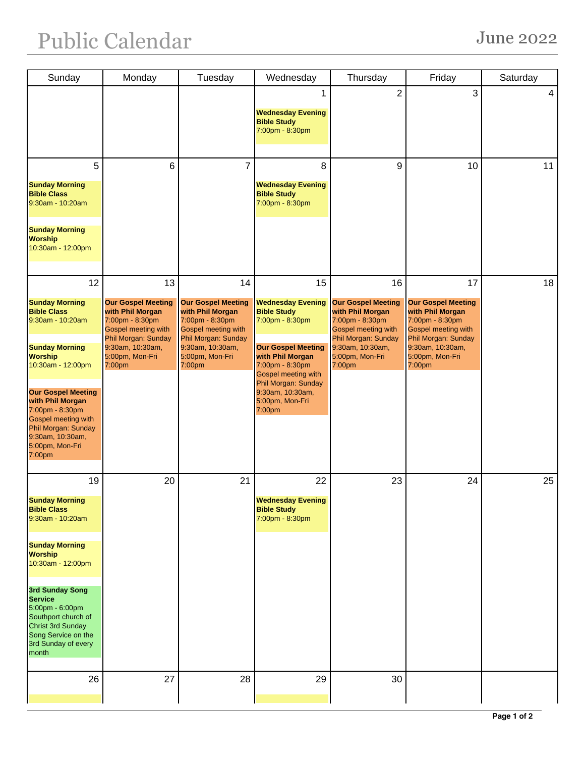| Sunday                                                                                                                                                                                                                                                                                                          | Monday                                                                                                                                                                | Tuesday                                                                                                                                                                      | Wednesday                                                                                                                                                                                                                                         | Thursday                                                                                                                                                              | Friday                                                                                                                                                                | Saturday |
|-----------------------------------------------------------------------------------------------------------------------------------------------------------------------------------------------------------------------------------------------------------------------------------------------------------------|-----------------------------------------------------------------------------------------------------------------------------------------------------------------------|------------------------------------------------------------------------------------------------------------------------------------------------------------------------------|---------------------------------------------------------------------------------------------------------------------------------------------------------------------------------------------------------------------------------------------------|-----------------------------------------------------------------------------------------------------------------------------------------------------------------------|-----------------------------------------------------------------------------------------------------------------------------------------------------------------------|----------|
|                                                                                                                                                                                                                                                                                                                 |                                                                                                                                                                       |                                                                                                                                                                              | <b>Wednesday Evening</b><br><b>Bible Study</b><br>7:00pm - 8:30pm                                                                                                                                                                                 | $\overline{2}$                                                                                                                                                        | 3                                                                                                                                                                     | 4        |
| 5<br><b>Sunday Morning</b><br><b>Bible Class</b><br>9:30am - 10:20am<br><b>Sunday Morning</b><br><b>Worship</b><br>10:30am - 12:00pm                                                                                                                                                                            | 6                                                                                                                                                                     | $\overline{7}$                                                                                                                                                               | 8<br><b>Wednesday Evening</b><br><b>Bible Study</b><br>7:00pm - 8:30pm                                                                                                                                                                            | 9                                                                                                                                                                     | 10                                                                                                                                                                    | 11       |
| 12<br><b>Sunday Morning</b><br><b>Bible Class</b><br>9:30am - 10:20am<br><b>Sunday Morning</b><br><b>Worship</b><br>10:30am - 12:00pm<br><b>Our Gospel Meeting</b><br>with Phil Morgan<br>7:00pm - 8:30pm<br><b>Gospel meeting with</b><br>Phil Morgan: Sunday<br>9:30am, 10:30am,<br>5:00pm, Mon-Fri<br>7:00pm | 13<br><b>Our Gospel Meeting</b><br>with Phil Morgan<br>7:00pm - 8:30pm<br>Gospel meeting with<br>Phil Morgan: Sunday<br>9:30am, 10:30am,<br>5:00pm, Mon-Fri<br>7:00pm | 14<br><b>Our Gospel Meeting</b><br>with Phil Morgan<br>7:00pm - 8:30pm<br><b>Gospel meeting with</b><br>Phil Morgan: Sunday<br>9:30am, 10:30am,<br>5:00pm, Mon-Fri<br>7:00pm | 15<br><b>Wednesday Evening</b><br><b>Bible Study</b><br>7:00pm - 8:30pm<br><b>Our Gospel Meeting</b><br>with Phil Morgan<br>7:00pm - 8:30pm<br><b>Gospel meeting with</b><br>Phil Morgan: Sunday<br>9:30am, 10:30am,<br>5:00pm, Mon-Fri<br>7:00pm | 16<br><b>Our Gospel Meeting</b><br>with Phil Morgan<br>7:00pm - 8:30pm<br>Gospel meeting with<br>Phil Morgan: Sunday<br>9:30am, 10:30am,<br>5:00pm, Mon-Fri<br>7:00pm | 17<br><b>Our Gospel Meeting</b><br>with Phil Morgan<br>7:00pm - 8:30pm<br>Gospel meeting with<br>Phil Morgan: Sunday<br>9:30am, 10:30am,<br>5:00pm, Mon-Fri<br>7:00pm | 18       |
| 19<br><b>Sunday Morning</b><br><b>Bible Class</b><br>9:30am - 10:20am<br><b>Sunday Morning</b><br><b>Worship</b><br>10:30am - 12:00pm<br>3rd Sunday Song<br><b>Service</b><br>5:00pm - 6:00pm<br>Southport church of<br><b>Christ 3rd Sunday</b><br>Song Service on the<br>3rd Sunday of every<br>month         | 20                                                                                                                                                                    | 21                                                                                                                                                                           | 22<br><b>Wednesday Evening</b><br><b>Bible Study</b><br>7:00pm - 8:30pm                                                                                                                                                                           | 23                                                                                                                                                                    | 24                                                                                                                                                                    | 25       |
| 26                                                                                                                                                                                                                                                                                                              | 27                                                                                                                                                                    | 28                                                                                                                                                                           | 29                                                                                                                                                                                                                                                | 30                                                                                                                                                                    |                                                                                                                                                                       |          |